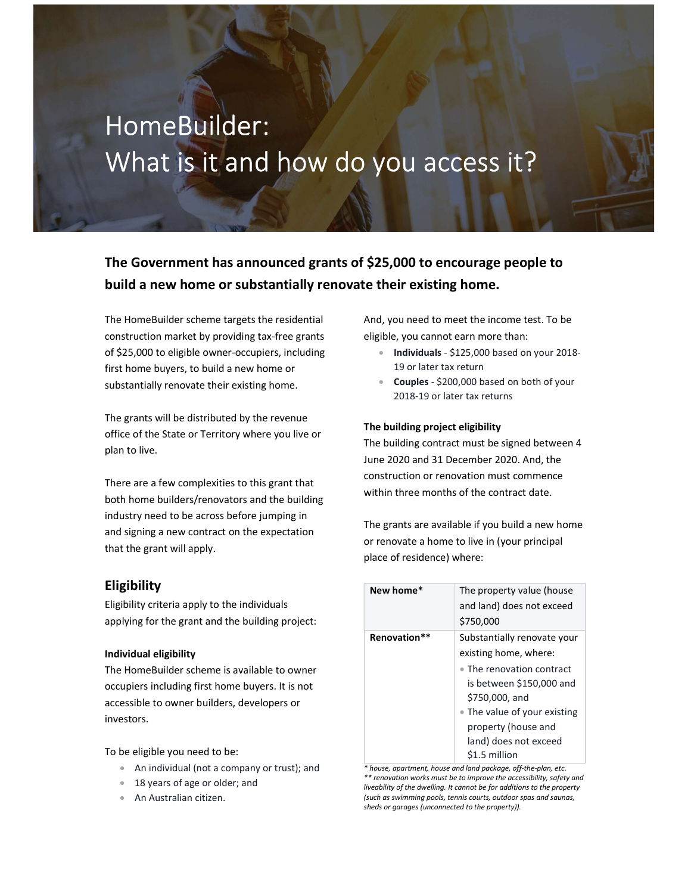# HomeBuilder: What is it and how do you access it?

The Government has announced grants of \$25,000 to encourage people to build a new home or substantially renovate their existing home.

The HomeBuilder scheme targets the residential construction market by providing tax-free grants of \$25,000 to eligible owner-occupiers, including first home buyers, to build a new home or substantially renovate their existing home.

The grants will be distributed by the revenue office of the State or Territory where you live or plan to live.

There are a few complexities to this grant that both home builders/renovators and the building industry need to be across before jumping in and signing a new contract on the expectation that the grant will apply.

### Eligibility

Eligibility criteria apply to the individuals applying for the grant and the building project:

#### Individual eligibility

The HomeBuilder scheme is available to owner occupiers including first home buyers. It is not accessible to owner builders, developers or investors.

To be eligible you need to be:

- An individual (not a company or trust); and
- 18 years of age or older; and
- An Australian citizen.

And, you need to meet the income test. To be eligible, you cannot earn more than:

- Individuals \$125,000 based on your 2018-19 or later tax return
- Couples \$200,000 based on both of your 2018-19 or later tax returns

#### The building project eligibility

The building contract must be signed between 4 June 2020 and 31 December 2020. And, the construction or renovation must commence within three months of the contract date.

The grants are available if you build a new home or renovate a home to live in (your principal place of residence) where:

| New home*    | The property value (house<br>and land) does not exceed<br>\$750,000 |
|--------------|---------------------------------------------------------------------|
| Renovation** | Substantially renovate your                                         |
|              | existing home, where:                                               |
|              | • The renovation contract                                           |
|              | is between \$150,000 and                                            |
|              | \$750,000, and                                                      |
|              | • The value of your existing                                        |
|              | property (house and                                                 |
|              | land) does not exceed                                               |
|              | \$1.5 million                                                       |

\* house, apartment, house and land package, off-the-plan, etc. \*\* renovation works must be to improve the accessibility, safety and liveability of the dwelling. It cannot be for additions to the property (such as swimming pools, tennis courts, outdoor spas and saunas, sheds or garages (unconnected to the property)).